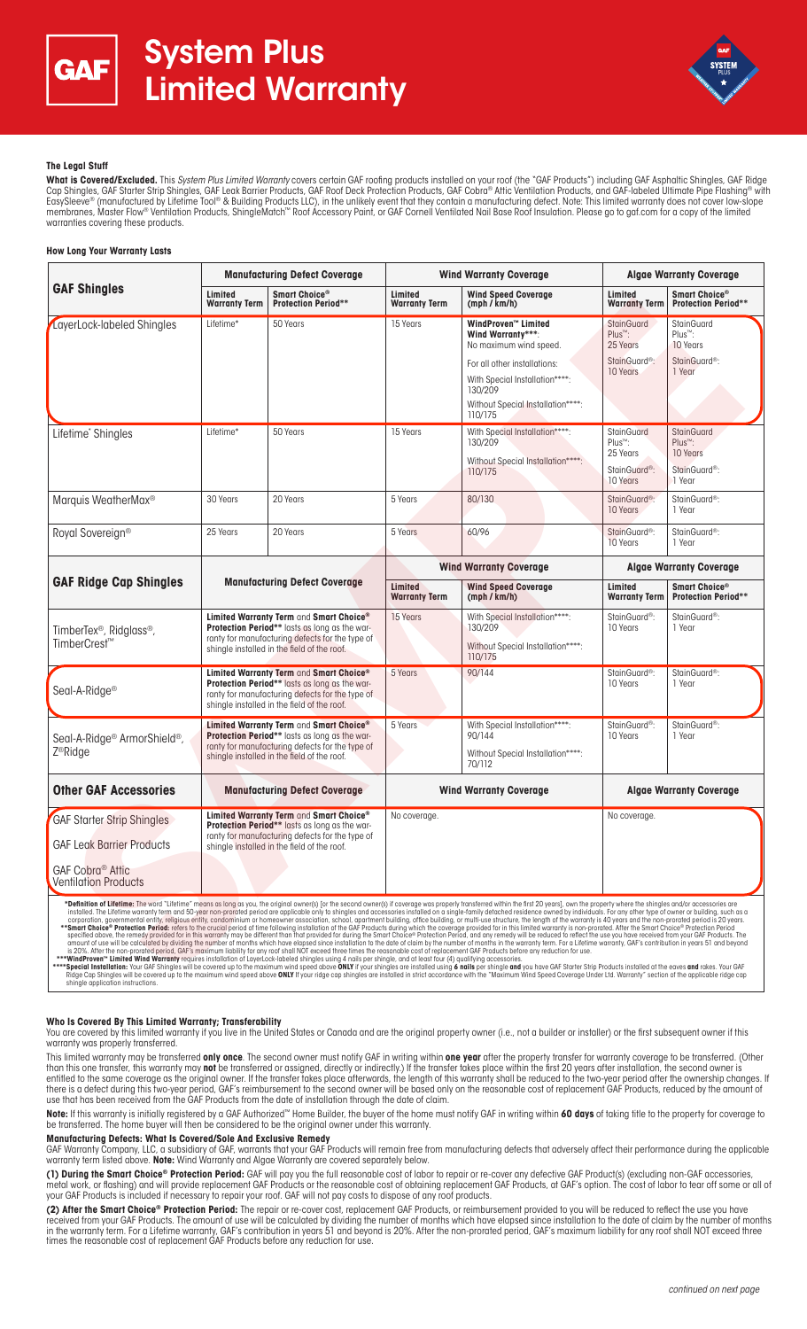



# **The Legal Stuff**

**What is Covered/Excluded.** This System Plus Limited Warranty covers certain GAF roofing products installed on your roof (the "GAF Products") including GAF Asphaltic Shingles, GAF Ridge Cap Shingles, GAF Starter Strip Shingles, GAF Leak Barrier Products, GAF Roof Deck Protection Products, GAF Cobra® Attic Ventilation Products, and GAF-labeled Ultimate Pipe Flashing® with<br>EasySleeve® (manufactured by Lifet membranes, Master Flow® Ventilation Products, ShingleMatch™ Roof Accessory Paint, or GAF Cornell Ventilated Nail Base Roof Insulation. Please go to gaf.com for a copy of the limited warranties covering these products.

## **How Long Your Warranty Lasts**

| <b>GAF Shingles</b>                                                          | <b>Manufacturing Defect Coverage</b>                                                                                                                                                              |                                             | <b>Wind Warranty Coverage</b>   |                                                                                                                                                                                                 | <b>Algae Warranty Coverage</b>                                                         |                                                                                             |
|------------------------------------------------------------------------------|---------------------------------------------------------------------------------------------------------------------------------------------------------------------------------------------------|---------------------------------------------|---------------------------------|-------------------------------------------------------------------------------------------------------------------------------------------------------------------------------------------------|----------------------------------------------------------------------------------------|---------------------------------------------------------------------------------------------|
|                                                                              | Limited<br><b>Warranty Term</b>                                                                                                                                                                   | Smart Choice®<br><b>Protection Period**</b> | Limited<br><b>Warranty Term</b> | <b>Wind Speed Coverage</b><br>(mph / km/h)                                                                                                                                                      | Limited<br><b>Warranty Term</b>                                                        | Smart Choice®<br><b>Protection Period**</b>                                                 |
| LayerLock-labeled Shingles                                                   | Lifetime*                                                                                                                                                                                         | 50 Years                                    | 15 Years                        | WindProven™ Limited<br>Wind Warranty***:<br>No maximum wind speed.<br>For all other installations:<br>With Special Installation****:<br>130/209<br>Without Special Installation****:<br>110/175 | StainGuard<br>Plus <sup>™</sup> :<br>25 Years<br>StainGuard <sup>®</sup> :<br>10 Years | <b>StainGuard</b><br>Plus <sup>™</sup> :<br>10 Years<br>StainGuard <sup>®</sup> :<br>1 Year |
| Lifetime* Shingles                                                           | Lifetime*                                                                                                                                                                                         | 50 Years                                    | 15 Years                        | With Special Installation****:<br>130/209<br>Without Special Installation****:<br>110/175                                                                                                       | <b>StainGuard</b><br>Plus™:<br>25 Years<br>StainGuard®:<br>10 Years                    | <b>StainGuard</b><br>Plus <sup>™</sup> :<br>10 Years<br>StainGuard <sup>®</sup> :<br>1 Year |
| Marquis WeatherMax <sup>®</sup>                                              | 30 Years                                                                                                                                                                                          | 20 Years                                    | 5 Years                         | 80/130                                                                                                                                                                                          | StainGuard®:<br>10 Years                                                               | StainGuard <sup>®</sup> :<br>1 Year                                                         |
| Royal Sovereign®                                                             | 25 Years                                                                                                                                                                                          | 20 Years                                    | 5 Years                         | 60/96                                                                                                                                                                                           | StainGuard®:<br>10 Years                                                               | StainGuard <sup>®</sup> :<br>1 Year                                                         |
| <b>GAF Ridge Cap Shingles</b>                                                | <b>Manufacturing Defect Coverage</b>                                                                                                                                                              |                                             | <b>Wind Warranty Coverage</b>   |                                                                                                                                                                                                 | <b>Algae Warranty Coverage</b>                                                         |                                                                                             |
|                                                                              |                                                                                                                                                                                                   |                                             | Limited<br><b>Warranty Term</b> | <b>Wind Speed Coverage</b><br>(mph / km/h)                                                                                                                                                      | Limited<br><b>Warranty Term</b>                                                        | Smart Choice®<br><b>Protection Period**</b>                                                 |
| TimberTex <sup>®</sup> , Ridglass <sup>®</sup> ,<br>TimberCrest™             | Limited Warranty Term and Smart Choice®<br><b>Protection Period**</b> lasts as long as the war-<br>ranty for manufacturing defects for the type of<br>shingle installed in the field of the roof. |                                             | 15 Years                        | With Special Installation****:<br>130/209<br>Without Special Installation****:<br>110/175                                                                                                       | StainGuard®:<br>10 Years                                                               | StainGuard <sup>®</sup> :<br>1 Year                                                         |
| Seal-A-Ridge <sup>®</sup>                                                    | Limited Warranty Term and Smart Choice®<br>Protection Period** lasts as long as the war-<br>ranty for manufacturing defects for the type of<br>shingle installed in the field of the roof.        |                                             | 5 Years                         | 90/144                                                                                                                                                                                          | StainGuard <sup>®</sup> :<br>10 Years                                                  | StainGuard <sup>®</sup> :<br>1 Year                                                         |
| Seal-A-Ridge <sup>®</sup> ArmorShield <sup>®</sup> ,<br>Z <sup>®</sup> Ridge | Limited Warranty Term and Smart Choice®<br>Protection Period** lasts as long as the war-<br>ranty for manufacturing defects for the type of<br>shingle installed in the field of the roof.        |                                             | 5 Years                         | With Special Installation****:<br>90/144<br>Without Special Installation****:<br>70/112                                                                                                         | StainGuard <sup>®</sup> :<br>10 Years                                                  | StainGuard <sup>®</sup> :<br>1 Year                                                         |
| <b>Other GAF Accessories</b>                                                 | <b>Manufacturing Defect Coverage</b>                                                                                                                                                              |                                             | <b>Wind Warranty Coverage</b>   |                                                                                                                                                                                                 | <b>Algae Warranty Coverage</b>                                                         |                                                                                             |
| <b>GAF Starter Strip Shingles</b><br><b>GAF Leak Barrier Products</b>        | Limited Warranty Term and Smart Choice®<br>Protection Period** lasts as long as the war-<br>ranty for manufacturing defects for the type of<br>shingle installed in the field of the roof.        |                                             | No coverage.                    |                                                                                                                                                                                                 | No coverage.                                                                           |                                                                                             |

### **Who Is Covered By This Limited Warranty; Transferability**

You are covered by this limited warranty if you live in the United States or Canada and are the original property owner (i.e., not a builder or installer) or the first subsequent owner if this warranty was properly transferred.

This limited warranty may be transferred **only once**. The second owner must notify GAF in writing within **one year** after the property transfer for warranty coverage to be transferred. (Other than this one transfer, this warranty may **not** be transferred or assigned, directly or indirectly.) If the transfer takes place within the first 20 years after installation, the second owner is entitled to the same coverage as the original owner. If the transfer takes place afterwards, the length of this warranty shall be reduced to the two-year period after the ownership changes. If there is a defect during this two-year period, GAF's reimbursement to the second owner will be based only on the reasonable cost of replacement GAF Products, reduced by the amount of use that has been received from the GAF Products from the date of installation through the date of claim.

**Note:** If this warranty is initially registered by a GAF Authorized™ Home Builder, the buyer of the home must notify GAF in writing within **60 days** of taking title to the property for coverage to<br>be transferred. The hom

### **Manufacturing Defects: What Is Covered/Sole And Exclusive Remedy**

GAF Warranty Company, LLC, a subsidiary of GAF, warrants that your GAF Products will remain free from manufacturing defects that adversely affect their performance during the applicable warranty term listed above. **Note:** Wind Warranty and Algae Warranty are covered separately below.

**(1) During the Smart Choice® Protection Period:** GAF will pay you the full reasonable cost of labor to repair or re-cover any defective GAF Product(s) (excluding non-GAF accessories, metal work, or flashing) and will provide replacement GAF Products or the reasonable cost of obtaining replacement GAF Products, at GAF's option. The cost of labor to tear off some or all of your GAF Products is included if necessary to repair your roof. GAF will not pay costs to dispose of any roof products.

**(2) After the Smart Choice® Protection Period:** The repair or re-cover cost, replacement GAF Products, or reimbursement provided to you will be reduced to reflect the use you have received from your GAF Products. The amount of use will be calculated by dividing the number of months which have elapsed since installation to the date of claim by the number of months in the warranty term. For a Lifetime warranty, GAF's contribution in years 51 and beyond is 20%. After the non-prorated period, GAF's maximum liability for any roof shall NOT exceed three times the reasonable cost of replacement GAF Products before any reduction for use.